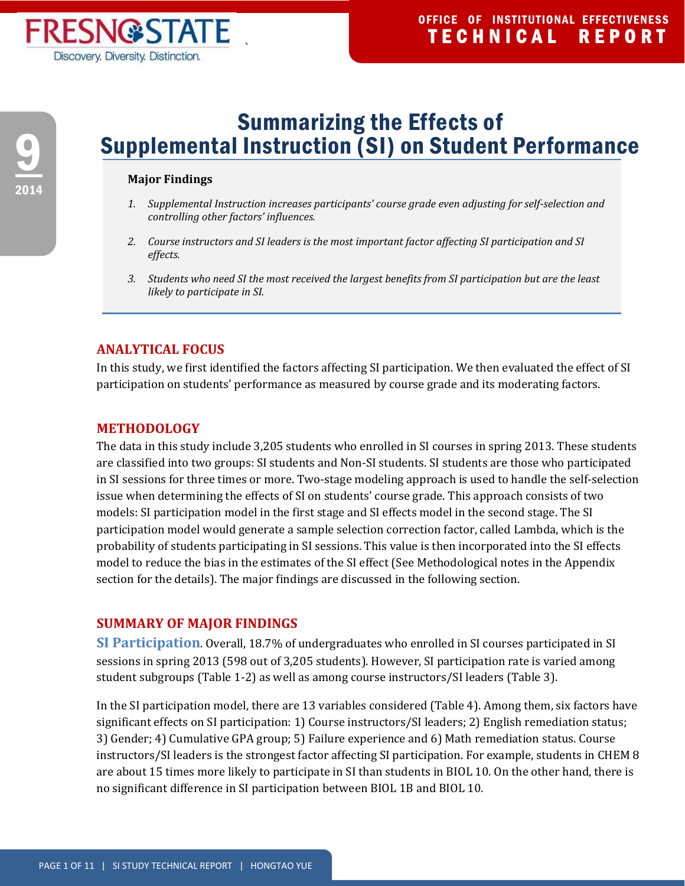# 9 2014

## Summarizing the Effects of Supplemental Instruction (SI) on Student Performance

#### **Major Findings**

` 

- *1. Supplemental Instruction increases participants' course grade even adjusting for self‐selection and controlling other factors' influences.*
- *2. Course instructors and SI leaders is the most important factor affecting SI participation and SI effects.*
- 3. Students who need SI the most received the largest benefits from SI participation but are the least *likely to participate in SI.*

## **ANALYTICAL FOCUS**

In this study, we first identified the factors affecting SI participation. We then evaluated the effect of SI participation on students' performance as measured by course grade and its moderating factors.

### **METHODOLOGY**

The data in this study include 3,205 students who enrolled in SI courses in spring 2013. These students are classified into two groups: SI students and Non-SI students. SI students are those who participated in SI sessions for three times or more. Two-stage modeling approach is used to handle the self-selection issue when determining the effects of SI on students' course grade. This approach consists of two models: SI participation model in the first stage and SI effects model in the second stage. The SI participation model would generate a sample selection correction factor, called Lambda, which is the probability of students participating in SI sessions. This value is then incorporated into the SI effects model to reduce the bias in the estimates of the SI effect (See Methodological notes in the Appendix section for the details). The major findings are discussed in the following section.

## **SUMMARY OF MAJOR FINDINGS**

**SI** Participation. Overall, 18.7% of undergraduates who enrolled in SI courses participated in SI sessions in spring 2013 (598 out of 3,205 students). However, SI participation rate is varied among student subgroups (Table 1-2) as well as among course instructors/SI leaders (Table 3).

In the SI participation model, there are 13 variables considered (Table 4). Among them, six factors have significant effects on SI participation: 1) Course instructors/SI leaders; 2) English remediation status; 3) Gender; 4) Cumulative GPA group; 5) Failure experience and 6) Math remediation status. Course instructors/SI leaders is the strongest factor affecting SI participation. For example, students in CHEM 8 are about 15 times more likely to participate in SI than students in BIOL 10. On the other hand, there is no significant difference in SI participation between BIOL 1B and BIOL 10.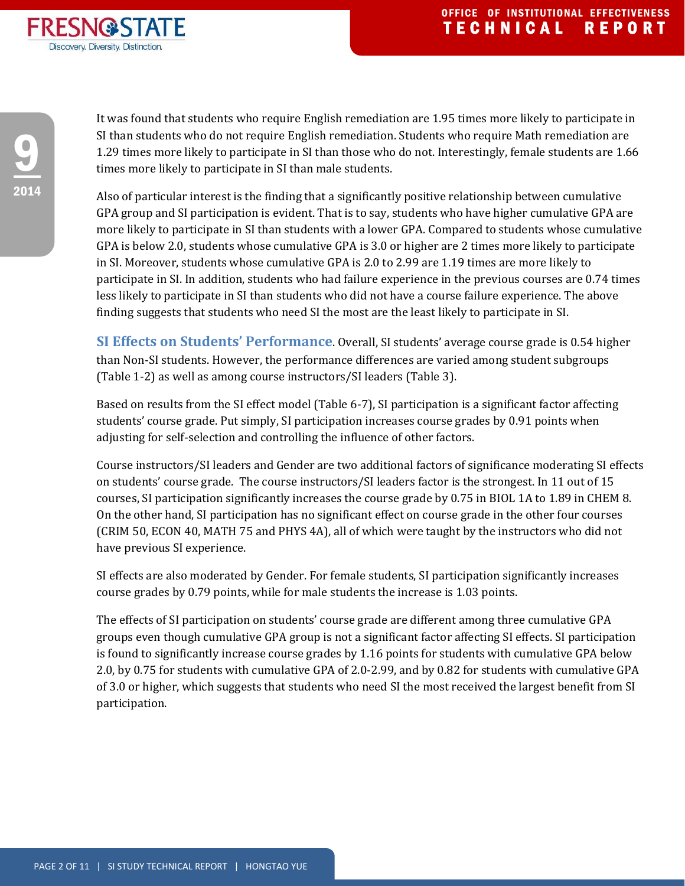

It was found that students who require English remediation are 1.95 times more likely to participate in SI than students who do not require English remediation. Students who require Math remediation are 1.29 times more likely to participate in SI than those who do not. Interestingly, female students are 1.66 times more likely to participate in SI than male students.

Also of particular interest is the finding that a significantly positive relationship between cumulative GPA group and SI participation is evident. That is to say, students who have higher cumulative GPA are more likely to participate in SI than students with a lower GPA. Compared to students whose cumulative GPA is below 2.0, students whose cumulative GPA is 3.0 or higher are 2 times more likely to participate in SI. Moreover, students whose cumulative GPA is 2.0 to 2.99 are 1.19 times are more likely to participate in SI. In addition, students who had failure experience in the previous courses are 0.74 times less likely to participate in SI than students who did not have a course failure experience. The above finding suggests that students who need SI the most are the least likely to participate in SI.

**SI Effects on Students' Performance**. Overall, SI students' average course grade is 0.54 higher than Non-SI students. However, the performance differences are varied among student subgroups (Table 1-2) as well as among course instructors/SI leaders (Table 3).

Based on results from the SI effect model (Table 6-7), SI participation is a significant factor affecting students' course grade. Put simply, SI participation increases course grades by 0.91 points when adjusting for self-selection and controlling the influence of other factors.

Course instructors/SI leaders and Gender are two additional factors of significance moderating SI effects on students' course grade. The course instructors/SI leaders factor is the strongest. In 11 out of 15 courses, SI participation significantly increases the course grade by 0.75 in BIOL 1A to 1.89 in CHEM 8. On the other hand, SI participation has no significant effect on course grade in the other four courses (CRIM 50, ECON 40, MATH 75 and PHYS 4A), all of which were taught by the instructors who did not have previous SI experience.

SI effects are also moderated by Gender. For female students, SI participation significantly increases course grades by 0.79 points, while for male students the increase is 1.03 points.

The effects of SI participation on students' course grade are different among three cumulative GPA groups even though cumulative GPA group is not a significant factor affecting SI effects. SI participation is found to significantly increase course grades by 1.16 points for students with cumulative GPA below 2.0, by 0.75 for students with cumulative GPA of 2.0-2.99, and by 0.82 for students with cumulative GPA of 3.0 or higher, which suggests that students who need SI the most received the largest benefit from SI participation.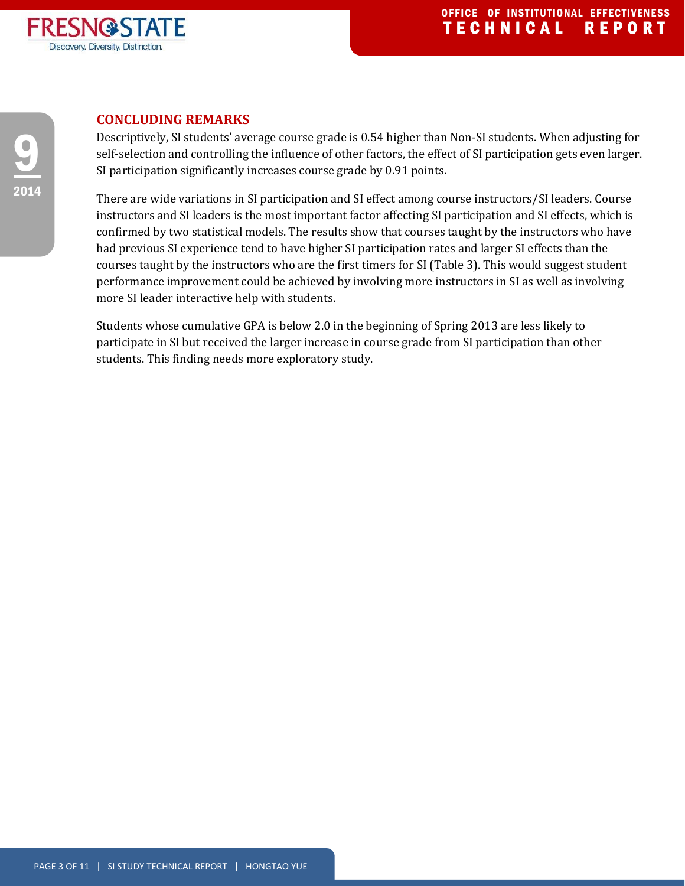

## **CONCLUDING REMARKS**

Descriptively, SI students' average course grade is 0.54 higher than Non-SI students. When adjusting for self-selection and controlling the influence of other factors, the effect of SI participation gets even larger. SI participation significantly increases course grade by 0.91 points.

There are wide variations in SI participation and SI effect among course instructors/SI leaders. Course instructors and SI leaders is the most important factor affecting SI participation and SI effects, which is confirmed by two statistical models. The results show that courses taught by the instructors who have had previous SI experience tend to have higher SI participation rates and larger SI effects than the courses taught by the instructors who are the first timers for SI (Table 3). This would suggest student performance improvement could be achieved by involving more instructors in SI as well as involving more SI leader interactive help with students.

Students whose cumulative GPA is below 2.0 in the beginning of Spring 2013 are less likely to participate in SI but received the larger increase in course grade from SI participation than other students. This finding needs more exploratory study.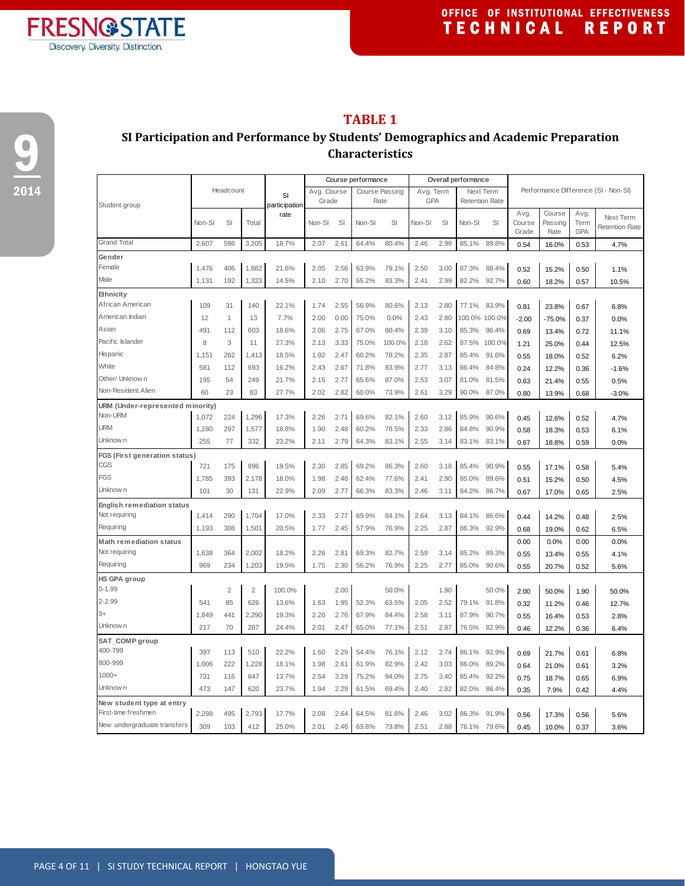

9

2014

## **TABLE 1**

## **SI Participation and Performance by Students' Demographics and Academic Preparation Characteristics**

|                                      |        |                |                |                     | Course performance   |      |                               |        | Overall performance |      |                                    |        |                         |                           |                     |                                      |
|--------------------------------------|--------|----------------|----------------|---------------------|----------------------|------|-------------------------------|--------|---------------------|------|------------------------------------|--------|-------------------------|---------------------------|---------------------|--------------------------------------|
| Student group                        |        | Headcount      |                | SI<br>participation | Avg. Course<br>Grade |      | <b>Course Passing</b><br>Rate |        | Avg. Term<br>GPA    |      | Next Term<br><b>Retention Rate</b> |        |                         |                           |                     | Performance Difference (SI - Non-SI) |
|                                      | Non-SI | SI             | Total          | rate                | Non-SI               | SI   | Non-SI                        | SI     | Non-SI              | SI   | Non-SI                             | SI     | Avg.<br>Course<br>Grade | Course<br>Passing<br>Rate | Avg.<br>Term<br>GPA | Next Term<br><b>Retention Rate</b>   |
| <b>Grand Total</b>                   | 2,607  | 598            | 3,205          | 18.7%               | 2.07                 | 2.61 | 64.4%                         | 80.4%  | 2.46                | 2.99 | 85.1%                              | 89.8%  | 0.54                    | 16.0%                     | 0.53                | 4.7%                                 |
| Gender                               |        |                |                |                     |                      |      |                               |        |                     |      |                                    |        |                         |                           |                     |                                      |
| Female                               | 1,476  | 406            | 1,882          | 21.6%               | 2.05                 | 2.56 | 63.9%                         | 79.1%  | 2.50                | 3.00 | 87.3%                              | 88.4%  | 0.52                    | 15.2%                     | 0.50                | 1.1%                                 |
| Male                                 | 1,131  | 192            | 1,323          | 14.5%               | 2.10                 | 2.70 | 65.2%                         | 83.3%  | 2.41                | 2.99 | 82.2%                              | 92.7%  | 0.60                    | 18.2%                     | 0.57                | 10.5%                                |
| Ethnicity                            |        |                |                |                     |                      |      |                               |        |                     |      |                                    |        |                         |                           |                     |                                      |
| African American                     | 109    | 31             | 140            | 22.1%               | 1.74                 | 2.55 | 56.9%                         | 80.6%  | 2.13                | 2.80 | 77.1%                              | 83.9%  | 0.81                    | 23.8%                     | 0.67                | 6.8%                                 |
| American Indian                      | 12     | 1              | 13             | 7.7%                | 2.00                 | 0.00 | 75.0%                         | 0.0%   | 2.43                | 2.80 | 100.0% 100.0%                      |        | $-2.00$                 | $-75.0%$                  | 0.37                | 0.0%                                 |
| Asian                                | 491    | 112            | 603            | 18.6%               | 2.06                 | 2.75 | 67.0%                         | 80.4%  | 2.39                | 3.10 | 85.3%                              | 96.4%  | 0.69                    | 13.4%                     | 0.72                | 11.1%                                |
| Pacific Islander                     | 8      | 3              | 11             | 27.3%               | 2.13                 | 3.33 | 75.0%                         | 100.0% | 2.18                | 2.62 | 87.5%                              | 100.0% | 1.21                    | 25.0%                     | 0.44                | 12.5%                                |
| Hispanic                             | 1,151  | 262            | 1,413          | 18.5%               | 1.92                 | 2.47 | 60.2%                         | 78.2%  | 2.35                | 2.87 | 85.4%                              | 91.6%  | 0.55                    | 18.0%                     | 0.52                | 6.2%                                 |
| White                                | 581    | 112            | 693            | 16.2%               | 2.43                 | 2.67 | 71.8%                         | 83.9%  | 2.77                | 3.13 | 86.4%                              | 84.8%  | 0.24                    | 12.2%                     | 0.36                | $-1.6%$                              |
| Other/ Unknow n                      | 195    | 54             | 249            | 21.7%               | 2.15                 | 2.77 | 65.6%                         | 87.0%  | 2.53                | 3.07 | 81.0%                              | 81.5%  | 0.63                    | 21.4%                     | 0.55                | 0.5%                                 |
| Non-Resident Alien                   | 60     | 23             | 83             | 27.7%               | 2.02                 | 2.82 | 60.0%                         | 73.9%  | 2.61                | 3.29 | 90.0%                              | 87.0%  | 0.80                    | 13.9%                     | 0.68                | $-3.0%$                              |
| URM (Under-represented minority)     |        |                |                |                     |                      |      |                               |        |                     |      |                                    |        |                         |                           |                     |                                      |
| Non-URM                              | 1,072  | 224            | 1,296          | 17.3%               | 2.26                 | 2.71 | 69.6%                         | 82.1%  | 2.60                | 3.12 | 85.9%                              | 90.6%  | 0.45                    | 12.6%                     | 0.52                | 4.7%                                 |
| <b>URM</b>                           | 1,280  | 297            | 1,577          | 18.8%               | 1.90                 | 2.48 | 60.2%                         | 78.5%  | 2.33                | 2.86 | 84.8%                              | 90.9%  | 0.58                    | 18.3%                     | 0.53                | 6.1%                                 |
| Unknow n                             | 255    | 77             | 332            | 23.2%               | 2.11                 | 2.79 | 64.3%                         | 83.1%  | 2.55                | 3.14 | 83.1%                              | 83.1%  | 0.67                    | 18.8%                     | 0.59                | 0.0%                                 |
| <b>FGS (First generation status)</b> |        |                |                |                     |                      |      |                               |        |                     |      |                                    |        |                         |                           |                     |                                      |
| CGS                                  | 721    | 175            | 896            | 19.5%               | 2.30                 | 2.85 | 69.2%                         | 86.3%  | 2.60                | 3.18 | 85.4%                              | 90.9%  | 0.55                    | 17.1%                     | 0.58                | 5.4%                                 |
| FGS                                  | 1,785  | 393            | 2,178          | 18.0%               | 1.98                 | 2.48 | 62.4%                         | 77.6%  | 2.41                | 2.90 | 85.0%                              | 89.6%  | 0.51                    | 15.2%                     | 0.50                | 4.5%                                 |
| Unknow n                             | 101    | 30             | 131            | 22.9%               | 2.09                 | 2.77 | 66.3%                         | 83.3%  | 2.46                | 3.11 | 84.2%                              | 86.7%  | 0.67                    | 17.0%                     | 0.65                | 2.5%                                 |
| <b>English remediation status</b>    |        |                |                |                     |                      |      |                               |        |                     |      |                                    |        |                         |                           |                     |                                      |
| Not requiring                        | 1,414  | 290            | 1,704          | 17.0%               | 2.33                 | 2.77 | 69.9%                         | 84.1%  | 2.64                | 3.13 | 84.1%                              | 86.6%  | 0.44                    | 14.2%                     | 0.48                | 2.5%                                 |
| Requiring                            | 1,193  | 308            | 1,501          | 20.5%               | 1.77                 | 2.45 | 57.9%                         | 76.9%  | 2.25                | 2.87 | 86.3%                              | 92.9%  | 0.68                    | 19.0%                     | 0.62                | 6.5%                                 |
| <b>Math remediation status</b>       |        |                |                |                     |                      |      |                               |        |                     |      |                                    |        | 0.00                    | 0.0%                      | 0.00                | 0.0%                                 |
| Not requiring                        | 1,638  | 364            | 2,002          | 18.2%               | 2.26                 | 2.81 | 69.3%                         | 82.7%  | 2.59                | 3.14 | 85.2%                              | 89.3%  | 0.55                    | 13.4%                     | 0.55                | 4.1%                                 |
| Requiring                            | 969    | 234            | 1,203          | 19.5%               | 1.75                 | 2.30 | 56.2%                         | 76.9%  | 2.25                | 2.77 | 85.0%                              | 90.6%  | 0.55                    | 20.7%                     | 0.52                | 5.6%                                 |
| HS GPA group                         |        |                |                |                     |                      |      |                               |        |                     |      |                                    |        |                         |                           |                     |                                      |
| $0 - 1.99$                           |        | $\overline{c}$ | $\overline{c}$ | 100.0%              |                      | 2.00 |                               | 50.0%  |                     | 1.90 |                                    | 50.0%  | 2.00                    | 50.0%                     | 1.90                | 50.0%                                |
| 2-2.99                               | 541    | 85             | 626            | 13.6%               | 1.63                 | 1.95 | 52.3%                         | 63.5%  | 2.05                | 2.52 | 79.1%                              | 91.8%  | 0.32                    | 11.2%                     | 0.46                | 12.7%                                |
| $3+$                                 | 1,849  | 441            | 2,290          | 19.3%               | 2.20                 | 2.76 | 67.9%                         | 84.4%  | 2.58                | 3.11 | 87.9%                              | 90.7%  | 0.55                    | 16.4%                     | 0.53                | 2.8%                                 |
| Unknow n                             | 217    | 70             | 287            | 24.4%               | 2.01                 | 2.47 | 65.0%                         | 77.1%  | 2.51                | 2.87 | 76.5%                              | 82.9%  | 0.46                    | 12.2%                     | 0.36                | 6.4%                                 |
| SAT_COMP group                       |        |                |                |                     |                      |      |                               |        |                     |      |                                    |        |                         |                           |                     |                                      |
| 400-799                              | 397    | 113            | 510            | 22.2%               | 1.60                 | 2.29 | 54.4%                         | 76.1%  | 2.12                | 2.74 | 86.1%                              | 92.9%  | 0.69                    | 21.7%                     | 0.61                | 6.8%                                 |
| 800-999                              | 1,006  | 222            | 1,228          | 18.1%               | 1.98                 | 2.61 | 61.9%                         | 82.9%  | 2.42                | 3.03 | 86.0%                              | 89.2%  | 0.64                    | 21.0%                     | 0.61                | 3.2%                                 |
| $1000+$                              | 731    | 116            | 847            | 13.7%               | 2.54                 | 3.29 | 75.2%                         | 94.0%  | 2.75                | 3.40 | 85.4%                              | 92.2%  | 0.75                    | 18.7%                     | 0.65                | 6.9%                                 |
| Unknow n                             | 473    | 147            | 620            | 23.7%               | 1.94                 | 2.29 | 61.5%                         | 69.4%  | 2.40                | 2.82 | 82.0%                              | 86.4%  | 0.35                    | 7.9%                      | 0.42                | 4.4%                                 |
| New student type at entry            |        |                |                |                     |                      |      |                               |        |                     |      |                                    |        |                         |                           |                     |                                      |
| First-time freshmen                  | 2,298  | 495            | 2,793          | 17.7%               | 2.08                 | 2.64 | 64.5%                         | 81.8%  | 2.46                | 3.02 | 86.3%                              | 91.9%  | 0.56                    | 17.3%                     | 0.56                | 5.6%                                 |
| New undergraduate transfers          | 309    | 103            | 412            | 25.0%               | 2.01                 | 2.46 | 63.8%                         | 73.8%  | 2.51                | 2.88 | 76.1%                              | 79.6%  | 0.45                    | 10.0%                     | 0.37                | 3.6%                                 |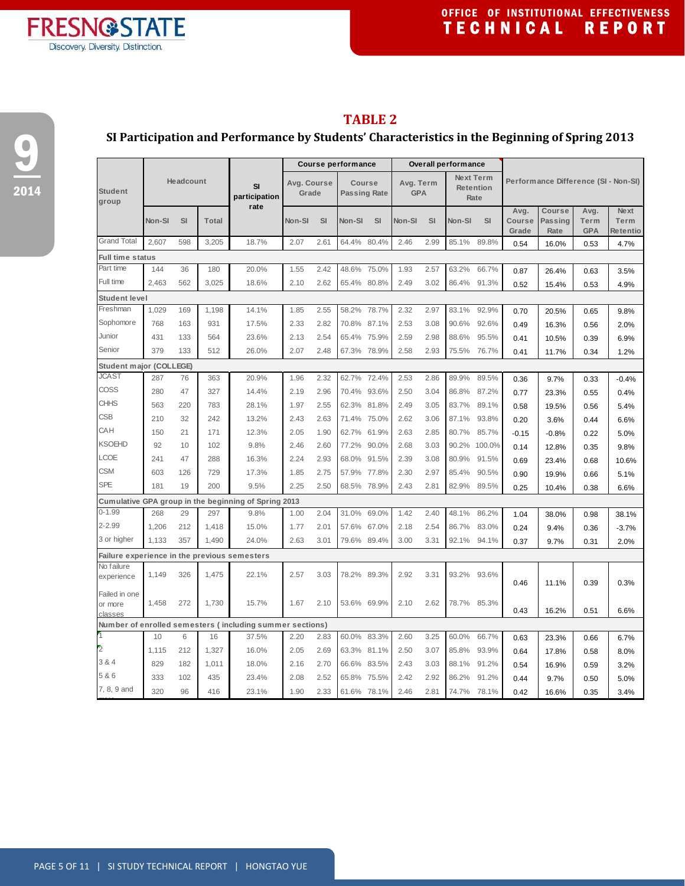

## **SI Participation and Performance by Students' Characteristics in the Beginning of Spring 2013**

|                                              |           |           |              |                                                                   | <b>Course performance</b> |      |                               |       | <b>Overall performance</b> |           |           |                          |                                      |                                  |                            |                                 |  |
|----------------------------------------------|-----------|-----------|--------------|-------------------------------------------------------------------|---------------------------|------|-------------------------------|-------|----------------------------|-----------|-----------|--------------------------|--------------------------------------|----------------------------------|----------------------------|---------------------------------|--|
| <b>Student</b><br>group                      | Headcount |           |              | SI<br>participation<br>rate                                       | Avg. Course<br>Grade      |      | Course<br><b>Passing Rate</b> |       | Avg. Term<br><b>GPA</b>    |           | Next Term | <b>Retention</b><br>Rate | Performance Difference (SI - Non-SI) |                                  |                            |                                 |  |
|                                              | Non-SI    | <b>SI</b> | <b>Total</b> |                                                                   | Non-SI                    | SI   | Non-SI                        | SI    | Non-SI                     | <b>SI</b> | Non-SI    | SI                       | Avg.<br><b>Course</b><br>Grade       | Course<br><b>Passing</b><br>Rate | Avg.<br>Term<br><b>GPA</b> | <b>Next</b><br>Term<br>Retentio |  |
| <b>Grand Total</b>                           | 2.607     | 598       | 3,205        | 18.7%                                                             | 2.07                      | 2.61 | 64.4%                         | 80.4% | 2.46                       | 2.99      | 85.1%     | 89.8%                    | 0.54                                 | 16.0%                            | 0.53                       | 4.7%                            |  |
| <b>Full time status</b>                      |           |           |              |                                                                   |                           |      |                               |       |                            |           |           |                          |                                      |                                  |                            |                                 |  |
| Part time                                    | 144       | 36        | 180          | 20.0%                                                             | 1.55                      | 2.42 | 48.6%                         | 75.0% | 1.93                       | 2.57      | 63.2%     | 66.7%                    | 0.87                                 | 26.4%                            | 0.63                       | 3.5%                            |  |
| Full time                                    | 2,463     | 562       | 3,025        | 18.6%                                                             | 2.10                      | 2.62 | 65.4% 80.8%                   |       | 2.49                       | 3.02      | 86.4%     | 91.3%                    | 0.52                                 | 15.4%                            | 0.53                       | 4.9%                            |  |
| Student level                                |           |           |              |                                                                   |                           |      |                               |       |                            |           |           |                          |                                      |                                  |                            |                                 |  |
| Freshman                                     | 1,029     | 169       | 1,198        | 14.1%                                                             | 1.85                      | 2.55 | 58.2%                         | 78.7% | 2.32                       | 2.97      | 83.1%     | 92.9%                    | 0.70                                 | 20.5%                            | 0.65                       | 9.8%                            |  |
| Sophomore                                    | 768       | 163       | 931          | 17.5%                                                             | 2.33                      | 2.82 | 70.8%                         | 87.1% | 2.53                       | 3.08      | 90.6%     | 92.6%                    | 0.49                                 | 16.3%                            | 0.56                       | 2.0%                            |  |
| Junior                                       | 431       | 133       | 564          | 23.6%                                                             | 2.13                      | 2.54 | 65.4%                         | 75.9% | 2.59                       | 2.98      | 88.6%     | 95.5%                    | 0.41                                 | 10.5%                            | 0.39                       | 6.9%                            |  |
| Senior                                       | 379       | 133       | 512          | 26.0%                                                             | 2.07                      | 2.48 | 67.3%                         | 78.9% | 2.58                       | 2.93      | 75.5%     | 76.7%                    | 0.41                                 | 11.7%                            | 0.34                       | 1.2%                            |  |
| Student major (COLLEGE)                      |           |           |              |                                                                   |                           |      |                               |       |                            |           |           |                          |                                      |                                  |                            |                                 |  |
| <b>JCAST</b>                                 | 287       | 76        | 363          | 20.9%                                                             | 1.96                      | 2.32 | 62.7%                         | 72.4% | 2.53                       | 2.86      | 89.9%     | 89.5%                    | 0.36                                 | 9.7%                             | 0.33                       | $-0.4%$                         |  |
| COSS                                         | 280       | 47        | 327          | 14.4%                                                             | 2.19                      | 2.96 | 70.4%                         | 93.6% | 2.50                       | 3.04      | 86.8%     | 87.2%                    | 0.77                                 | 23.3%                            | 0.55                       | 0.4%                            |  |
| <b>CHHS</b>                                  | 563       | 220       | 783          | 28.1%                                                             | 1.97                      | 2.55 | 62.3%                         | 81.8% | 2.49                       | 3.05      | 83.7%     | 89.1%                    | 0.58                                 | 19.5%                            | 0.56                       | 5.4%                            |  |
| <b>CSB</b>                                   | 210       | 32        | 242          | 13.2%                                                             | 2.43                      | 2.63 | 71.4%                         | 75.0% | 2.62                       | 3.06      | 87.1%     | 93.8%                    | 0.20                                 | 3.6%                             | 0.44                       | 6.6%                            |  |
| CAH                                          | 150       | 21        | 171          | 12.3%                                                             | 2.05                      | 1.90 | 62.7%                         | 61.9% | 2.63                       | 2.85      | 80.7%     | 85.7%                    | $-0.15$                              | $-0.8%$                          | 0.22                       | 5.0%                            |  |
| <b>KSOEHD</b>                                | 92        | 10        | 102          | 9.8%                                                              | 2.46                      | 2.60 | 77.2%                         | 90.0% | 2.68                       | 3.03      | 90.2%     | 100.0%                   | 0.14                                 | 12.8%                            | 0.35                       | 9.8%                            |  |
| LCOE                                         | 241       | 47        | 288          | 16.3%                                                             | 2.24                      | 2.93 | 68.0%                         | 91.5% | 2.39                       | 3.08      | 80.9%     | 91.5%                    | 0.69                                 | 23.4%                            | 0.68                       | 10.6%                           |  |
| <b>CSM</b>                                   | 603       | 126       | 729          | 17.3%                                                             | 1.85                      | 2.75 | 57.9%                         | 77.8% | 2.30                       | 2.97      | 85.4%     | 90.5%                    | 0.90                                 | 19.9%                            | 0.66                       | 5.1%                            |  |
| <b>SPE</b>                                   | 181       | 19        | 200          | 9.5%                                                              | 2.25                      | 2.50 | 68.5% 78.9%                   |       | 2.43                       | 2.81      | 82.9%     | 89.5%                    | 0.25                                 | 10.4%                            | 0.38                       | 6.6%                            |  |
|                                              |           |           |              | Cumulative GPA group in the beginning of Spring 2013              |                           |      |                               |       |                            |           |           |                          |                                      |                                  |                            |                                 |  |
| $0 - 1.99$                                   | 268       | 29        | 297          | 9.8%                                                              | 1.00                      | 2.04 | 31.0%                         | 69.0% | 1.42                       | 2.40      | 48.1%     | 86.2%                    | 1.04                                 | 38.0%                            | 0.98                       | 38.1%                           |  |
| $2 - 2.99$                                   | 1,206     | 212       | 1,418        | 15.0%                                                             | 1.77                      | 2.01 | 57.6%                         | 67.0% | 2.18                       | 2.54      | 86.7%     | 83.0%                    | 0.24                                 | 9.4%                             | 0.36                       | $-3.7%$                         |  |
| 3 or higher                                  | 1.133     | 357       | 1.490        | 24.0%                                                             | 2.63                      | 3.01 | 79.6% 89.4%                   |       | 3.00                       | 3.31      | 92.1%     | 94.1%                    | 0.37                                 | 9.7%                             | 0.31                       | 2.0%                            |  |
| Failure experience in the previous semesters |           |           |              |                                                                   |                           |      |                               |       |                            |           |           |                          |                                      |                                  |                            |                                 |  |
| No failure                                   |           |           |              |                                                                   |                           |      |                               |       |                            |           |           |                          |                                      |                                  |                            |                                 |  |
| experience                                   | 1,149     | 326       | 1,475        | 22.1%                                                             | 2.57                      | 3.03 | 78.2% 89.3%                   |       | 2.92                       | 3.31      | 93.2%     | 93.6%                    | 0.46                                 | 11.1%                            | 0.39                       | 0.3%                            |  |
| Failed in one<br>or more                     | 1,458     | 272       | 1,730        | 15.7%                                                             | 1.67                      | 2.10 | 53.6% 69.9%                   |       | 2.10                       | 2.62      | 78.7%     | 85.3%                    |                                      |                                  | 0.51                       |                                 |  |
| classes                                      |           |           |              |                                                                   |                           |      |                               |       |                            |           |           |                          | 0.43                                 | 16.2%                            |                            | 6.6%                            |  |
|                                              | 10        | 6         | 16           | Number of enrolled semesters (including summer sections)<br>37.5% | 2.20                      | 2.83 | 60.0%                         | 83.3% | 2.60                       | 3.25      | 60.0%     | 66.7%                    |                                      |                                  |                            |                                 |  |
| $\overline{2}$                               | 1,115     | 212       | 1,327        | 16.0%                                                             | 2.05                      | 2.69 | 63.3%                         | 81.1% | 2.50                       | 3.07      | 85.8%     | 93.9%                    | 0.63                                 | 23.3%                            | 0.66                       | 6.7%                            |  |
| 3 & 4                                        |           |           |              |                                                                   |                           |      |                               |       |                            |           |           |                          | 0.64                                 | 17.8%                            | 0.58                       | 8.0%                            |  |
| 5 & 6                                        | 829       | 182       | 1,011        | 18.0%                                                             | 2.16                      | 2.70 | 66.6% 83.5%                   |       | 2.43                       | 3.03      | 88.1%     | 91.2%                    | 0.54                                 | 16.9%                            | 0.59                       | 3.2%                            |  |
| 7, 8, 9 and                                  | 333       | 102       | 435          | 23.4%                                                             | 2.08                      | 2.52 | 65.8%                         | 75.5% | 2.42                       | 2.92      | 86.2%     | 91.2%                    | 0.44                                 | 9.7%                             | 0.50                       | 5.0%                            |  |
|                                              | 320       | 96        | 416          | 23.1%                                                             | 1.90                      | 2.33 | 61.6% 78.1%                   |       | 2.46                       | 2.81      | 74.7%     | 78.1%                    | 0.42                                 | 16.6%                            | 0.35                       | 3.4%                            |  |

**FRESN@STATE** Discovery. Diversity. Distinction.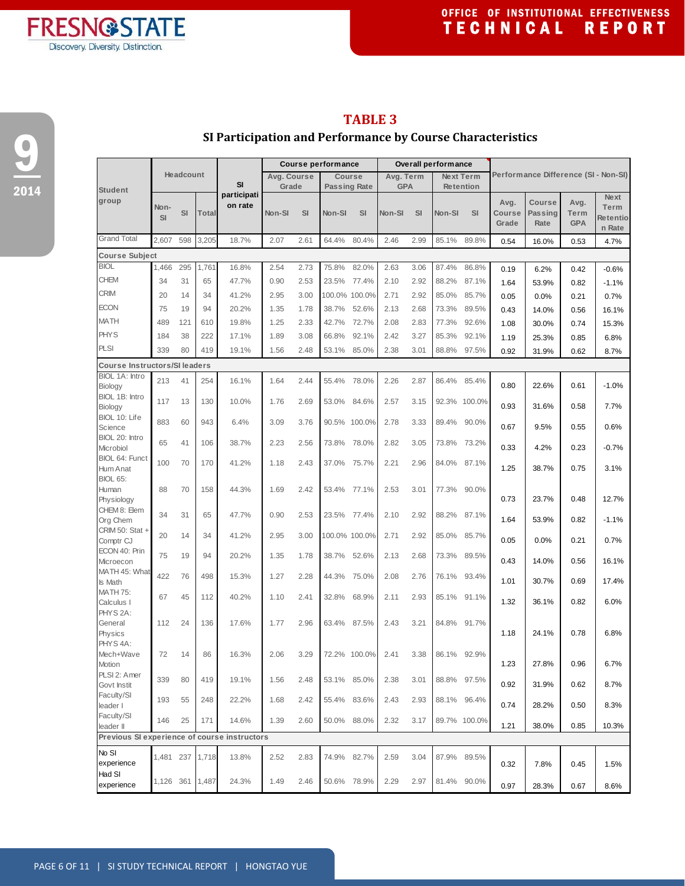

**The Company** 

┓

## **TABLE 3**

## **SI Participation and Performance by Course Characteristics**

9 2014

|                                              |           |           |       |                   |             |           | <b>Course performance</b> |              |            |           | <b>Overall performance</b> |                  |                 |                                      |                    |          |
|----------------------------------------------|-----------|-----------|-------|-------------------|-------------|-----------|---------------------------|--------------|------------|-----------|----------------------------|------------------|-----------------|--------------------------------------|--------------------|----------|
|                                              |           | Headcount |       |                   | Avg. Course |           | <b>Course</b>             |              | Avg. Term  |           |                            | <b>Next Term</b> |                 | Performance Difference (SI - Non-SI) |                    |          |
| <b>Student</b>                               |           |           |       | SI<br>participati | Grade       |           | <b>Passing Rate</b>       |              | <b>GPA</b> |           |                            | <b>Retention</b> |                 |                                      |                    | Next     |
| group                                        | Non-      |           |       | on rate           |             |           |                           |              |            |           |                            |                  | Avg.            | Course                               | Avg.               | Term     |
|                                              | <b>SI</b> | SI        | Total |                   | Non-SI      | <b>SI</b> | Non-SI                    | SI           | Non-SI     | <b>SI</b> | Non-SI                     | SI               | Course<br>Grade | <b>Passing</b><br>Rate               | Term<br><b>GPA</b> | Retentio |
|                                              |           |           |       |                   |             |           |                           |              |            |           |                            |                  |                 |                                      |                    | n Rate   |
| <b>Grand Total</b>                           | 2,607     | 598       | 3,205 | 18.7%             | 2.07        | 2.61      | 64.4%                     | 80.4%        | 2.46       | 2.99      | 85.1%                      | 89.8%            | 0.54            | 16.0%                                | 0.53               | 4.7%     |
| <b>Course Subject</b>                        |           |           |       |                   |             |           |                           |              |            |           |                            |                  |                 |                                      |                    |          |
| <b>BIOL</b>                                  | 1,466     | 295       | 1,761 | 16.8%             | 2.54        | 2.73      | 75.8%                     | 82.0%        | 2.63       | 3.06      | 87.4%                      | 86.8%            | 0.19            | 6.2%                                 | 0.42               | $-0.6%$  |
| <b>CHEM</b>                                  | 34        | 31        | 65    | 47.7%             | 0.90        | 2.53      | 23.5%                     | 77.4%        | 2.10       | 2.92      | 88.2%                      | 87.1%            | 1.64            | 53.9%                                | 0.82               | $-1.1%$  |
| <b>CRIM</b>                                  | 20        | 14        | 34    | 41.2%             | 2.95        | 3.00      | 100.0% 100.0%             |              | 2.71       | 2.92      | 85.0%                      | 85.7%            | 0.05            | 0.0%                                 | 0.21               | 0.7%     |
| <b>ECON</b>                                  | 75        | 19        | 94    | 20.2%             | 1.35        | 1.78      | 38.7%                     | 52.6%        | 2.13       | 2.68      | 73.3%                      | 89.5%            | 0.43            | 14.0%                                | 0.56               | 16.1%    |
| MATH                                         | 489       | 121       | 610   | 19.8%             | 1.25        | 2.33      | 42.7%                     | 72.7%        | 2.08       | 2.83      | 77.3%                      | 92.6%            | 1.08            | 30.0%                                | 0.74               | 15.3%    |
| <b>PHYS</b>                                  | 184       | 38        | 222   | 17.1%             | 1.89        | 3.08      | 66.8%                     | 92.1%        | 2.42       | 3.27      | 85.3%                      | 92.1%            | 1.19            | 25.3%                                | 0.85               | 6.8%     |
| <b>PLSI</b>                                  | 339       | 80        | 419   | 19.1%             | 1.56        | 2.48      | 53.1%                     | 85.0%        | 2.38       | 3.01      | 88.8%                      | 97.5%            | 0.92            | 31.9%                                | 0.62               | 8.7%     |
| <b>Course Instructors/SI leaders</b>         |           |           |       |                   |             |           |                           |              |            |           |                            |                  |                 |                                      |                    |          |
| BIOL 1A: Intro                               | 213       | 41        | 254   | 16.1%             | 1.64        | 2.44      | 55.4%                     | 78.0%        | 2.26       | 2.87      | 86.4%                      | 85.4%            |                 |                                      |                    |          |
| Biology                                      |           |           |       |                   |             |           |                           |              |            |           |                            |                  | 0.80            | 22.6%                                | 0.61               | $-1.0%$  |
| BIOL 1B: Intro                               | 117       | 13        | 130   | 10.0%             | 1.76        | 2.69      | 53.0%                     | 84.6%        | 2.57       | 3.15      |                            | 92.3% 100.0%     | 0.93            | 31.6%                                | 0.58               | 7.7%     |
| Biology<br>BIOL 10: Life                     |           |           |       |                   |             |           |                           |              |            |           |                            |                  |                 |                                      |                    |          |
| Science                                      | 883       | 60        | 943   | 6.4%              | 3.09        | 3.76      | 90.5% 100.0%              |              | 2.78       | 3.33      | 89.4%                      | 90.0%            | 0.67            | 9.5%                                 | 0.55               | 0.6%     |
| BIOL 20: Intro                               | 65        | 41        | 106   | 38.7%             | 2.23        | 2.56      | 73.8%                     | 78.0%        | 2.82       | 3.05      | 73.8%                      | 73.2%            |                 |                                      |                    |          |
| Microbiol<br><b>BIOL 64: Funct</b>           |           |           |       |                   |             |           |                           |              |            |           |                            |                  | 0.33            | 4.2%                                 | 0.23               | $-0.7%$  |
| Hum Anat                                     | 100       | 70        | 170   | 41.2%             | 1.18        | 2.43      | 37.0%                     | 75.7%        | 2.21       | 2.96      | 84.0%                      | 87.1%            | 1.25            | 38.7%                                | 0.75               | 3.1%     |
| <b>BIOL 65:</b>                              |           |           |       |                   |             |           |                           |              |            |           |                            |                  |                 |                                      |                    |          |
| Human                                        | 88        | 70        | 158   | 44.3%             | 1.69        | 2.42      | 53.4%                     | 77.1%        | 2.53       | 3.01      | 77.3%                      | 90.0%            |                 |                                      |                    |          |
| Physiology<br>CHEM 8: Elem                   |           |           |       |                   |             |           |                           |              |            |           |                            |                  | 0.73            | 23.7%                                | 0.48               | 12.7%    |
| Org Chem                                     | 34        | 31        | 65    | 47.7%             | 0.90        | 2.53      | 23.5% 77.4%               |              | 2.10       | 2.92      | 88.2%                      | 87.1%            | 1.64            | 53.9%                                | 0.82               | $-1.1%$  |
| CRIM 50: Stat +                              | 20        | 14        | 34    | 41.2%             | 2.95        | 3.00      | 100.0% 100.0%             |              | 2.71       | 2.92      | 85.0%                      | 85.7%            |                 |                                      |                    |          |
| Comptr <sub>CJ</sub>                         |           |           |       |                   |             |           |                           |              |            |           |                            |                  | 0.05            | 0.0%                                 | 0.21               | 0.7%     |
| ECON 40: Prin<br>Microecon                   | 75        | 19        | 94    | 20.2%             | 1.35        | 1.78      | 38.7%                     | 52.6%        | 2.13       | 2.68      | 73.3%                      | 89.5%            | 0.43            | 14.0%                                | 0.56               | 16.1%    |
| MATH 45: What                                |           |           |       |                   |             |           |                           |              |            |           |                            |                  |                 |                                      |                    |          |
| <b>Is Math</b>                               | 422       | 76        | 498   | 15.3%             | 1.27        | 2.28      | 44.3%                     | 75.0%        | 2.08       | 2.76      | 76.1%                      | 93.4%            | 1.01            | 30.7%                                | 0.69               | 17.4%    |
| <b>MATH 75:</b>                              | 67        | 45        | 112   | 40.2%             | 1.10        | 2.41      | 32.8%                     | 68.9%        | 2.11       | 2.93      |                            | 85.1% 91.1%      | 1.32            | 36.1%                                | 0.82               | 6.0%     |
| Calculus I<br>PHYS <sub>2A:</sub>            |           |           |       |                   |             |           |                           |              |            |           |                            |                  |                 |                                      |                    |          |
| General                                      | 112       | 24        | 136   | 17.6%             | 1.77        | 2.96      | 63.4% 87.5%               |              | 2.43       | 3.21      | 84.8% 91.7%                |                  |                 |                                      |                    |          |
| Physics                                      |           |           |       |                   |             |           |                           |              |            |           |                            |                  | 1.18            | 24.1%                                | 0.78               | 6.8%     |
| PHYS4A:<br>Mech+Wave                         | 72        | 14        | 86    | 16.3%             | 2.06        | 3.29      |                           | 72.2% 100.0% | 2.41       | 3.38      | 86.1%                      | 92.9%            |                 |                                      |                    |          |
| Motion                                       |           |           |       |                   |             |           |                           |              |            |           |                            |                  | 1.23            | 27.8%                                | 0.96               | 6.7%     |
| PLSI 2: Amer                                 | 339       | 80        | 419   | 19.1%             | 1.56        | 2.48      | 53.1%                     | 85.0%        | 2.38       | 3.01      | 88.8%                      | 97.5%            |                 |                                      |                    |          |
| Govt Instit                                  |           |           |       |                   |             |           |                           |              |            |           |                            |                  | 0.92            | 31.9%                                | 0.62               | 8.7%     |
| Faculty/SI<br>leader I                       | 193       | 55        | 248   | 22.2%             | 1.68        | 2.42      | 55.4%                     | 83.6%        | 2.43       | 2.93      | 88.1% 96.4%                |                  | 0.74            | 28.2%                                | 0.50               | 8.3%     |
| Faculty/SI                                   |           |           |       |                   |             |           |                           |              |            |           |                            |                  |                 |                                      |                    |          |
| leader II                                    | 146       | 25        | 171   | 14.6%             | 1.39        | 2.60      | 50.0%                     | 88.0%        | 2.32       | 3.17      |                            | 89.7% 100.0%     | 1.21            | 38.0%                                | 0.85               | 10.3%    |
| Previous SI experience of course instructors |           |           |       |                   |             |           |                           |              |            |           |                            |                  |                 |                                      |                    |          |
| No SI                                        | 1,481 237 |           | 1,718 | 13.8%             | 2.52        | 2.83      | 74.9%                     | 82.7%        | 2.59       | 3.04      | 87.9%                      | 89.5%            |                 |                                      |                    |          |
| experience                                   |           |           |       |                   |             |           |                           |              |            |           |                            |                  | 0.32            | 7.8%                                 | 0.45               | 1.5%     |
| Had SI<br>experience                         | 1,126 361 |           | 1,487 | 24.3%             | 1.49        | 2.46      | 50.6%                     | 78.9%        | 2.29       | 2.97      | 81.4% 90.0%                |                  | 0.97            | 28.3%                                | 0.67               | 8.6%     |
|                                              |           |           |       |                   |             |           |                           |              |            |           |                            |                  |                 |                                      |                    |          |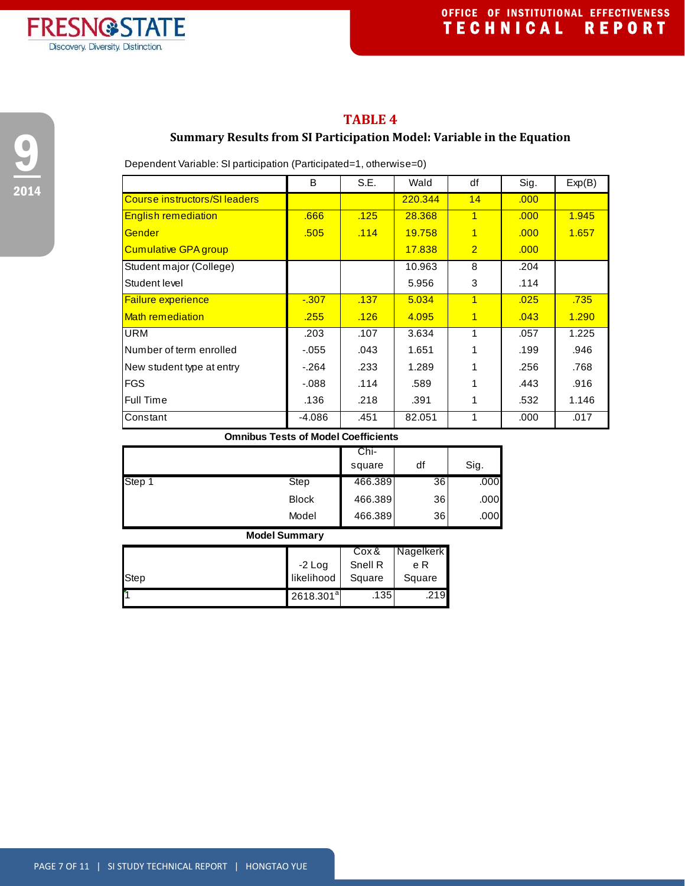

## **TABLE 4**

## **Summary Results from SI Participation Model: Variable in the Equation**

Dependent Variable: SI participation (Participated=1, otherwise=0)

|                               | B        | S.E. | Wald    | df             | Sig. | Exp(B) |
|-------------------------------|----------|------|---------|----------------|------|--------|
| Course instructors/SI leaders |          |      | 220.344 | 14             | .000 |        |
| <b>English remediation</b>    | .666     | .125 | 28.368  | $\overline{1}$ | .000 | 1.945  |
| <b>Gender</b>                 | .505     | .114 | 19.758  | 1              | .000 | 1.657  |
| <b>Cumulative GPA group</b>   |          |      | 17.838  | $\overline{2}$ | .000 |        |
| Student major (College)       |          |      | 10.963  | 8              | .204 |        |
| Student level                 |          |      | 5.956   | 3              | .114 |        |
| <b>Failure experience</b>     | $-0.307$ | .137 | 5.034   | $\overline{1}$ | .025 | .735   |
| <b>Math remediation</b>       | .255     | .126 | 4.095   | $\overline{1}$ | .043 | 1.290  |
| <b>URM</b>                    | .203     | .107 | 3.634   | 1              | .057 | 1.225  |
| Number of term enrolled       | -.055    | .043 | 1.651   | 1              | .199 | .946   |
| New student type at entry     | $-.264$  | .233 | 1.289   |                | .256 | .768   |
| <b>FGS</b>                    | $-088$   | .114 | .589    |                | .443 | .916   |
| Full Time                     | .136     | .218 | .391    | 1              | .532 | 1.146  |
| Constant                      | -4.086   | .451 | 82.051  | 1              | .000 | .017   |

#### **Omnibus Tests of Model Coefficients**

|        |              | Chi-    |    |      |
|--------|--------------|---------|----|------|
|        |              | square  | df | Sig. |
| Step 1 | Step         | 466.389 | 36 | .000 |
|        | <b>Block</b> | 466.389 | 36 | .000 |
|        | Model        | 466.389 | 36 | .000 |

| <b>HOUGH DUITHING</b> |                       |         |           |  |  |  |  |  |  |  |
|-----------------------|-----------------------|---------|-----------|--|--|--|--|--|--|--|
|                       |                       | Cox &   | Nagelkerk |  |  |  |  |  |  |  |
|                       | $-2$ Log              | Snell R | e R       |  |  |  |  |  |  |  |
| Step                  | likelihood            | Square  | Square    |  |  |  |  |  |  |  |
|                       | 2618.301 <sup>a</sup> | .135    | .219      |  |  |  |  |  |  |  |

#### **Model Summary**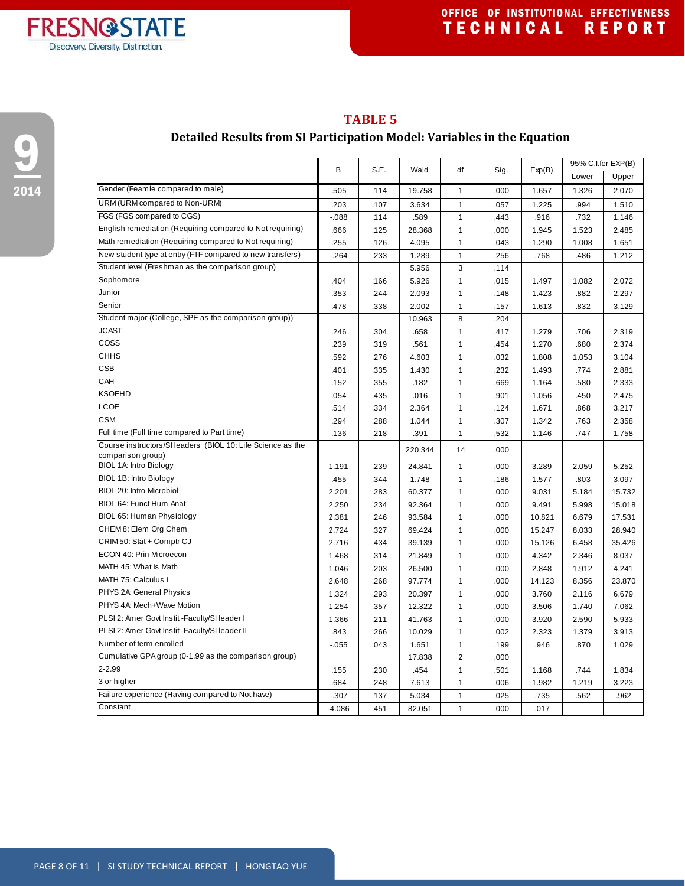

## **TABLE 5**

## **Detailed Results from SI Participation Model: Variables in the Equation**

|                                                             | B<br>S.E. | Wald | df      | Sig.           | Exp(B) | 95% C.I.for EXP(B) |       |        |
|-------------------------------------------------------------|-----------|------|---------|----------------|--------|--------------------|-------|--------|
|                                                             |           |      |         |                |        |                    | Lower | Upper  |
| Gender (Feamle compared to male)                            | .505      | .114 | 19.758  | $\mathbf{1}$   | .000   | 1.657              | 1.326 | 2.070  |
| URM (URM compared to Non-URM)                               | .203      | .107 | 3.634   | $\mathbf{1}$   | .057   | 1.225              | .994  | 1.510  |
| FGS (FGS compared to CGS)                                   | $-088$    | .114 | .589    | 1              | .443   | .916               | .732  | 1.146  |
| English remediation (Requiring compared to Not requiring)   | .666      | .125 | 28.368  | $\mathbf{1}$   | .000   | 1.945              | 1.523 | 2.485  |
| Math remediation (Requiring compared to Not requiring)      | .255      | .126 | 4.095   | 1              | .043   | 1.290              | 1.008 | 1.651  |
| New student type at entry (FTF compared to new transfers)   | $-264$    | .233 | 1.289   | $\mathbf{1}$   | .256   | .768               | .486  | 1.212  |
| Student level (Freshman as the comparison group)            |           |      | 5.956   | 3              | .114   |                    |       |        |
| Sophomore                                                   | .404      | .166 | 5.926   | 1              | .015   | 1.497              | 1.082 | 2.072  |
| Junior                                                      | .353      | .244 | 2.093   | 1              | .148   | 1.423              | .882  | 2.297  |
| Senior                                                      | .478      | .338 | 2.002   | 1              | .157   | 1.613              | .832  | 3.129  |
| Student major (College, SPE as the comparison group))       |           |      | 10.963  | 8              | .204   |                    |       |        |
| JCAST                                                       | .246      | .304 | .658    | 1              | .417   | 1.279              | .706  | 2.319  |
| COSS                                                        | .239      | .319 | .561    | 1              | .454   | 1.270              | .680  | 2.374  |
| <b>CHHS</b>                                                 | .592      | .276 | 4.603   | 1              | .032   | 1.808              | 1.053 | 3.104  |
| CSB                                                         | .401      | .335 | 1.430   | 1              | .232   | 1.493              | .774  | 2.881  |
| CAH                                                         | .152      | .355 | .182    | 1              | .669   | 1.164              | .580  | 2.333  |
| <b>KSOEHD</b>                                               | .054      | .435 | .016    | $\mathbf{1}$   | .901   | 1.056              | .450  | 2.475  |
| LCOE                                                        | .514      | .334 | 2.364   | $\mathbf{1}$   | .124   | 1.671              | .868  | 3.217  |
| <b>CSM</b>                                                  | .294      | .288 | 1.044   | 1              | .307   | 1.342              | .763  | 2.358  |
| Full time (Full time compared to Part time)                 | .136      | .218 | .391    | $\mathbf{1}$   | .532   | 1.146              | .747  | 1.758  |
| Course instructors/SI leaders (BIOL 10: Life Science as the |           |      | 220.344 | 14             | .000   |                    |       |        |
| comparison group)                                           |           |      |         |                |        |                    |       |        |
| BIOL 1A: Intro Biology                                      | 1.191     | .239 | 24.841  | 1              | .000   | 3.289              | 2.059 | 5.252  |
| BIOL 1B: Intro Biology                                      | .455      | .344 | 1.748   | 1              | .186   | 1.577              | .803  | 3.097  |
| BIOL 20: Intro Microbiol                                    | 2.201     | .283 | 60.377  | 1              | .000   | 9.031              | 5.184 | 15.732 |
| BIOL 64: Funct Hum Anat                                     | 2.250     | .234 | 92.364  | 1              | .000   | 9.491              | 5.998 | 15.018 |
| BIOL 65: Human Physiology                                   | 2.381     | .246 | 93.584  | 1              | .000   | 10.821             | 6.679 | 17.531 |
| CHEM8: Elem Org Chem                                        | 2.724     | .327 | 69.424  | $\mathbf{1}$   | .000   | 15.247             | 8.033 | 28.940 |
| CRIM 50: Stat + Comptr CJ                                   | 2.716     | .434 | 39.139  | 1              | .000   | 15.126             | 6.458 | 35.426 |
| ECON 40: Prin Microecon                                     | 1.468     | .314 | 21.849  | 1              | .000   | 4.342              | 2.346 | 8.037  |
| MATH 45: What Is Math                                       | 1.046     | .203 | 26.500  | 1              | .000   | 2.848              | 1.912 | 4.241  |
| MATH 75: Calculus I                                         | 2.648     | .268 | 97.774  | 1              | .000   | 14.123             | 8.356 | 23.870 |
| PHYS 2A: General Physics                                    | 1.324     | .293 | 20.397  | 1              | .000   | 3.760              | 2.116 | 6.679  |
| PHYS 4A: Mech+Wave Motion                                   | 1.254     | .357 | 12.322  | $\mathbf{1}$   | .000   | 3.506              | 1.740 | 7.062  |
| PLSI 2: Amer Govt Instit - Faculty/SI leader I              | 1.366     | .211 | 41.763  | $\mathbf{1}$   | .000   | 3.920              | 2.590 | 5.933  |
| PLSI 2: Amer Govt Instit - Faculty/SI leader II             | .843      | .266 | 10.029  | 1              | .002   | 2.323              | 1.379 | 3.913  |
| Number of term enrolled                                     | $-0.055$  | .043 | 1.651   | $\mathbf{1}$   | .199   | .946               | .870  | 1.029  |
| Cumulative GPA group (0-1.99 as the comparison group)       |           |      | 17.838  | $\overline{2}$ | .000   |                    |       |        |
| $2 - 2.99$                                                  | .155      | .230 | .454    | $\mathbf{1}$   | .501   | 1.168              | .744  | 1.834  |
| 3 or higher                                                 | .684      | .248 | 7.613   | 1              | .006   | 1.982              | 1.219 | 3.223  |
| Failure experience (Having compared to Not have)            | $-0.307$  | .137 | 5.034   | $\mathbf{1}$   | .025   | .735               | .562  | .962   |
| Constant                                                    | $-4.086$  | .451 | 82.051  | $\mathbf{1}$   | .000   | .017               |       |        |

**FRESN@STATE** Discovery. Diversity. Distinction.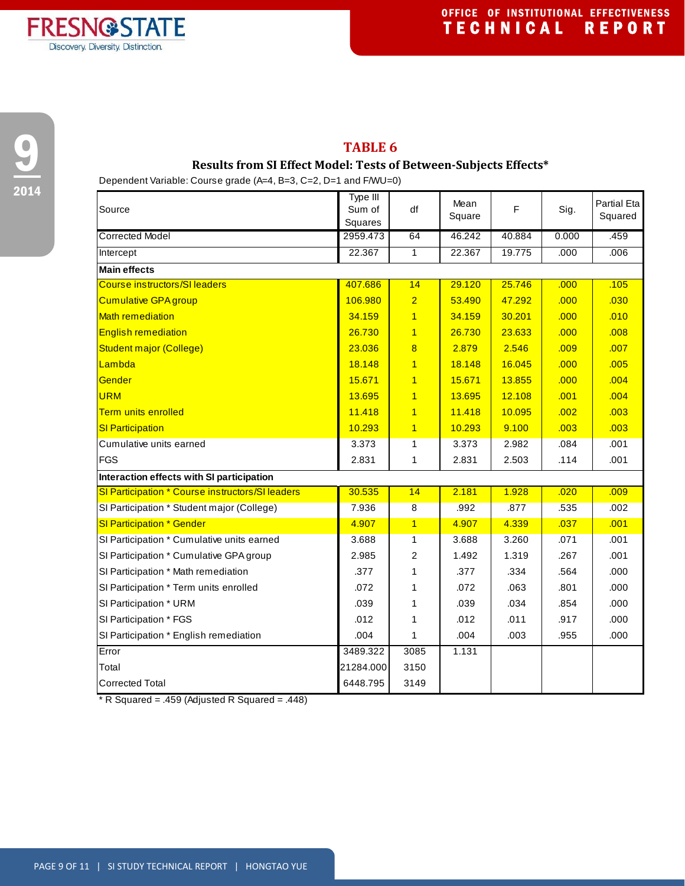



#### **TABLE 6**

#### **Results from SI Effect Model: Tests of Between‐Subjects Effects\***

Dependent Variable: Course grade (A=4, B=3, C=2, D=1 and F/WU=0)

| Source                                           | Type III<br>Sum of<br>Squares | df                      | Mean<br>Square | F      | Sig.  | <b>Partial Eta</b><br>Squared |
|--------------------------------------------------|-------------------------------|-------------------------|----------------|--------|-------|-------------------------------|
| <b>Corrected Model</b>                           | 2959.473                      | 64                      | 46.242         | 40.884 | 0.000 | .459                          |
| Intercept                                        | 22.367                        | $\mathbf{1}$            | 22.367         | 19.775 | .000  | .006                          |
| <b>Main effects</b>                              |                               |                         |                |        |       |                               |
| <b>Course instructors/SI leaders</b>             | 407.686                       | 14                      | 29.120         | 25.746 | .000  | .105                          |
| <b>Cumulative GPA group</b>                      | 106.980                       | $\overline{2}$          | 53.490         | 47.292 | .000  | .030                          |
| <b>Math remediation</b>                          | 34.159                        | $\overline{1}$          | 34.159         | 30.201 | .000  | .010                          |
| <b>English remediation</b>                       | 26.730                        | $\overline{1}$          | 26.730         | 23.633 | .000  | .008                          |
| <b>Student major (College)</b>                   | 23.036                        | $\overline{\mathbf{8}}$ | 2.879          | 2.546  | .009  | .007                          |
| Lambda                                           | 18.148                        | $\overline{1}$          | 18.148         | 16.045 | .000  | .005                          |
| Gender                                           | 15.671                        | $\overline{1}$          | 15.671         | 13.855 | .000  | .004                          |
| <b>URM</b>                                       | 13.695                        | $\overline{1}$          | 13.695         | 12.108 | .001  | .004                          |
| <b>Term units enrolled</b>                       | 11.418                        | $\overline{1}$          | 11.418         | 10.095 | .002  | .003                          |
| <b>SI Participation</b>                          | 10.293                        | $\overline{1}$          | 10.293         | 9.100  | .003  | .003                          |
| Cumulative units earned                          | 3.373                         | $\mathbf{1}$            | 3.373          | 2.982  | .084  | .001                          |
| <b>FGS</b>                                       | 2.831                         | 1                       | 2.831          | 2.503  | .114  | .001                          |
| Interaction effects with SI participation        |                               |                         |                |        |       |                               |
| SI Participation * Course instructors/SI leaders | 30.535                        | 14                      | 2.181          | 1.928  | .020  | .009                          |
| SI Participation * Student major (College)       | 7.936                         | 8                       | .992           | .877   | .535  | .002                          |
| <b>SI Participation * Gender</b>                 | 4.907                         | $\overline{1}$          | 4.907          | 4.339  | .037  | .001                          |
| SI Participation * Cumulative units earned       | 3.688                         | 1                       | 3.688          | 3.260  | .071  | .001                          |
| SI Participation * Cumulative GPA group          | 2.985                         | $\overline{2}$          | 1.492          | 1.319  | .267  | .001                          |
| SI Participation * Math remediation              | .377                          | 1                       | .377           | .334   | .564  | .000                          |
| SI Participation * Term units enrolled           | .072                          | 1                       | .072           | .063   | .801  | .000                          |
| SI Participation * URM                           | .039                          | 1                       | .039           | .034   | .854  | .000                          |
| SI Participation * FGS                           | .012                          | 1                       | .012           | .011   | .917  | .000                          |
| SI Participation * English remediation           | .004                          | 1                       | .004           | .003   | .955  | .000                          |
| Error                                            | 3489.322                      | 3085                    | 1.131          |        |       |                               |
| Total                                            | 21284.000                     | 3150                    |                |        |       |                               |
| <b>Corrected Total</b>                           | 6448.795                      | 3149                    |                |        |       |                               |

\* R Squared = .459 (Adjusted R Squared = .448)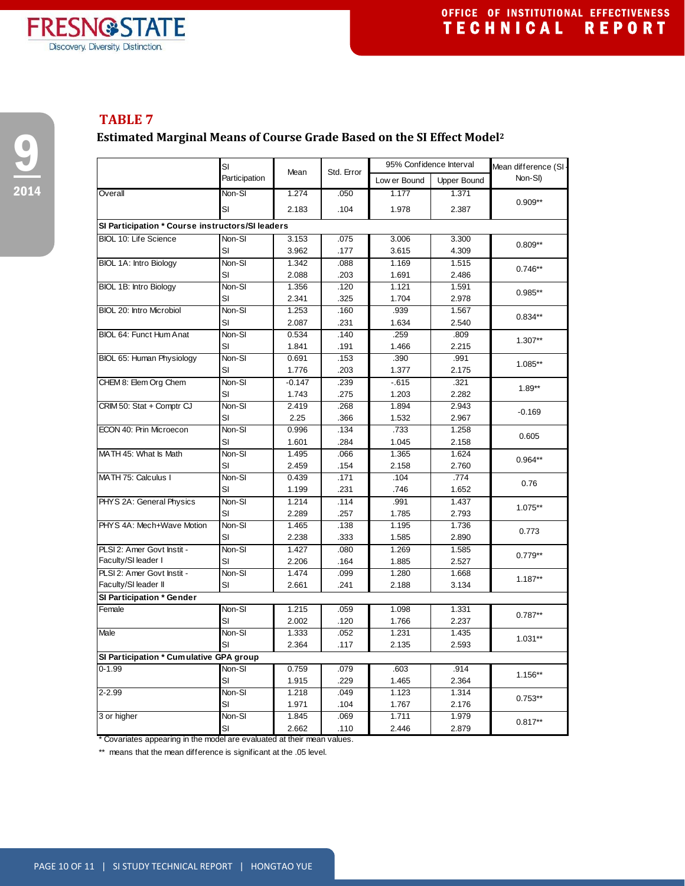

 $\bullet$ 

2014

## **TABLE 7**

## **Estimated Marginal Means of Course Grade Based on the SI Effect Model2**

|                                                  | SI            | Mean     | Std. Error | 95% Confidence Interval |                    | Mean difference (SI- |  |
|--------------------------------------------------|---------------|----------|------------|-------------------------|--------------------|----------------------|--|
|                                                  | Participation |          |            | Low er Bound            | <b>Upper Bound</b> | Non-SI)              |  |
| Overall                                          | Non-SI        | 1.274    | .050       | 1.177                   | 1.371              |                      |  |
|                                                  | SI            | 2.183    | .104       | 1.978                   | 2.387              | $0.909**$            |  |
| SI Participation * Course instructors/SI leaders |               |          |            |                         |                    |                      |  |
| <b>BIOL 10: Life Science</b>                     | Non-SI        | 3.153    | .075       | 3.006                   | 3.300              |                      |  |
|                                                  | SI            | 3.962    | .177       | 3.615                   | 4.309              | $0.809**$            |  |
| BIOL 1A: Intro Biology                           | Non-SI        | 1.342    | .088       | 1.169                   | 1.515              |                      |  |
|                                                  | SI            | 2.088    | .203       | 1.691                   | 2.486              | $0.746**$            |  |
| BIOL 1B: Intro Biology                           | Non-SI        | 1.356    | .120       | 1.121                   | 1.591              |                      |  |
|                                                  | SI            | 2.341    | .325       | 1.704                   | 2.978              | 0.985**              |  |
| BIOL 20: Intro Microbiol                         | Non-SI        | 1.253    | .160       | .939                    | 1.567              |                      |  |
|                                                  | SI            | 2.087    | .231       | 1.634                   | 2.540              | $0.834**$            |  |
| BIOL 64: Funct Hum Anat                          | Non-SI        | 0.534    | .140       | .259                    | .809               | 1.307**              |  |
|                                                  | SI            | 1.841    | .191       | 1.466                   | 2.215              |                      |  |
| BIOL 65: Human Physiology                        | Non-SI        | 0.691    | .153       | .390                    | .991               |                      |  |
|                                                  | SI            | 1.776    | .203       | 1.377                   | 2.175              | 1.085**              |  |
| CHEM 8: Elem Org Chem                            | Non-SI        | $-0.147$ | .239       | $-615$                  | .321               | $1.89**$             |  |
|                                                  | SI            | 1.743    | .275       | 1.203                   | 2.282              |                      |  |
| CRIM 50: Stat + Comptr CJ                        | Non-SI        | 2.419    | .268       | 1.894                   | 2.943              | $-0.169$             |  |
|                                                  | SI            | 2.25     | .366       | 1.532                   | 2.967              |                      |  |
| ECON 40: Prin Microecon                          | Non-SI        | 0.996    | .134       | .733                    | 1.258              | 0.605                |  |
|                                                  | SI            | 1.601    | .284       | 1.045                   | 2.158              |                      |  |
| MATH 45: What Is Math                            | Non-SI        | 1.495    | .066       | 1.365                   | 1.624              | 0.964**              |  |
|                                                  | SI            | 2.459    | .154       | 2.158                   | 2.760              |                      |  |
| MATH 75: Calculus I                              | Non-SI        | 0.439    | .171       | .104                    | .774               | 0.76                 |  |
|                                                  | SI            | 1.199    | .231       | .746                    | 1.652              |                      |  |
| PHYS 2A: General Physics                         | Non-SI        | 1.214    | .114       | .991                    | 1.437              | 1.075**              |  |
|                                                  | SI            | 2.289    | .257       | 1.785                   | 2.793              |                      |  |
| PHYS 4A: Mech+Wave Motion                        | Non-SI        | 1.465    | .138       | 1.195                   | 1.736              | 0.773                |  |
|                                                  | SI            | 2.238    | .333       | 1.585                   | 2.890              |                      |  |
| PLSI 2: Amer Govt Instit -                       | Non-SI        | 1.427    | .080       | 1.269                   | 1.585              | $0.779**$            |  |
| Faculty/SI leader I                              | SI            | 2.206    | .164       | 1.885                   | 2.527              |                      |  |
| PLSI 2: Amer Govt Instit -                       | Non-SI        | 1.474    | .099       | 1.280                   | 1.668              | $1.187**$            |  |
| Faculty/SI leader II                             | SI            | 2.661    | .241       | 2.188                   | 3.134              |                      |  |
| SI Participation * Gender                        |               |          |            |                         |                    |                      |  |
| Female                                           | Non-SI        | 1.215    | .059       | 1.098                   | 1.331              | $0.787**$            |  |
|                                                  | SI            | 2.002    | .120       | 1.766                   | 2.237              |                      |  |
| Male                                             | Non-SI        | 1.333    | .052       | 1.231                   | 1.435              | $1.031**$            |  |
|                                                  | SI            | 2.364    | .117       | 2.135                   | 2.593              |                      |  |
| SI Participation * Cumulative GPA group          |               |          |            |                         |                    |                      |  |
| $0 - 1.99$                                       | Non-SI        | 0.759    | .079       | .603                    | .914               | 1.156**              |  |
|                                                  | SI            | 1.915    | .229       | 1.465                   | 2.364              |                      |  |
| $2 - 2.99$                                       | Non-SI        | 1.218    | .049       | 1.123                   | 1.314              | $0.753**$            |  |
|                                                  | SI            | 1.971    | .104       | 1.767                   | 2.176              |                      |  |
| 3 or higher                                      | Non-SI        | 1.845    | .069       | 1.711                   | 1.979              | $0.817**$            |  |
|                                                  | SI            | 2.662    | .110       | 2.446                   | 2.879              |                      |  |

\* Covariates appearing in the model are evaluated at their mean values.

\*\* means that the mean difference is significant at the .05 level.